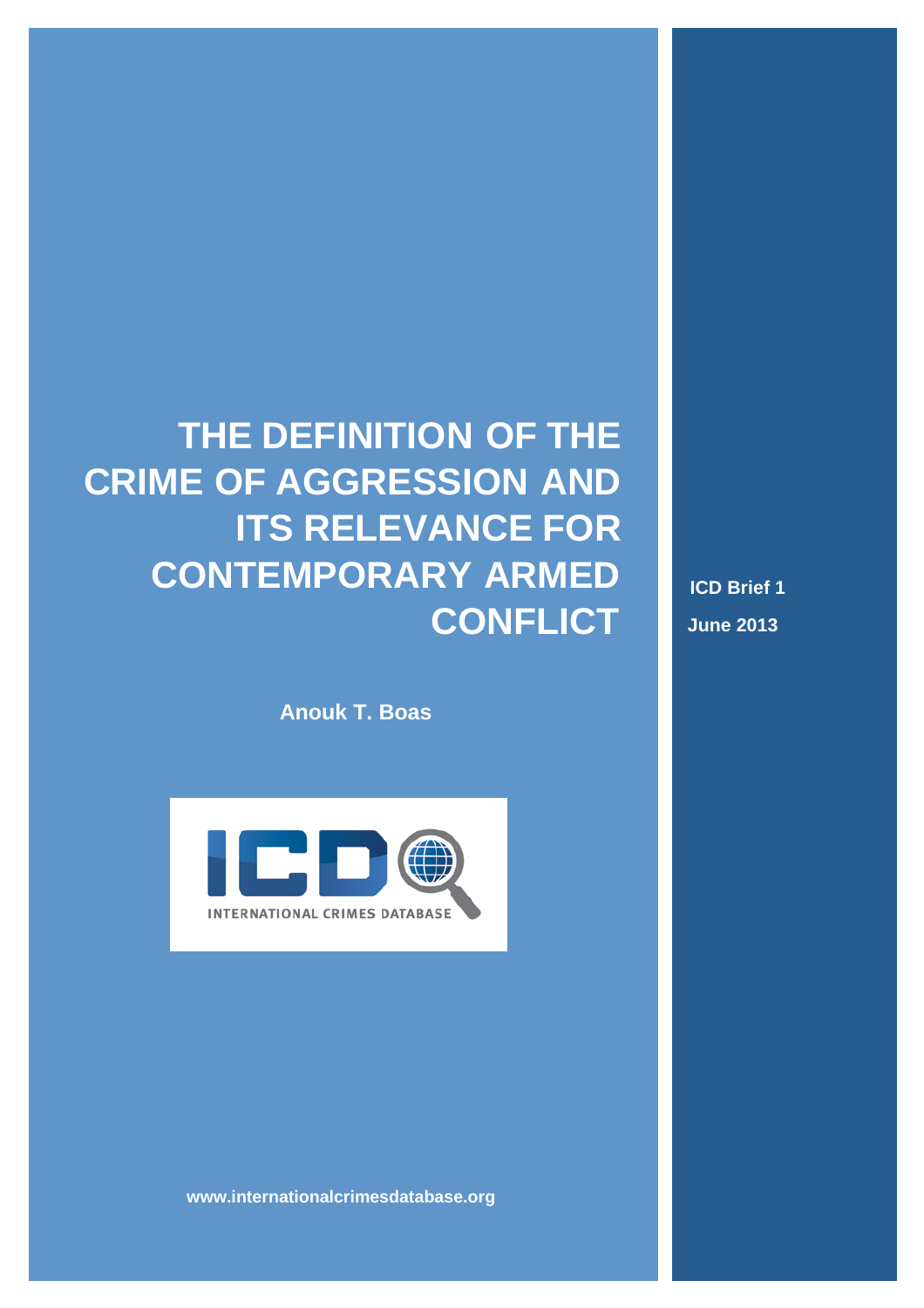**THE DEFINITION OF THE CRIME OF AGGRESSION AND ITS RELEVANCE FOR CONTEMPORARY ARMED CONFLICT**

**ICD Brief 1**

**June 2013**

**Anouk T. Boas**



**www.internationalcrimesdatabase.org**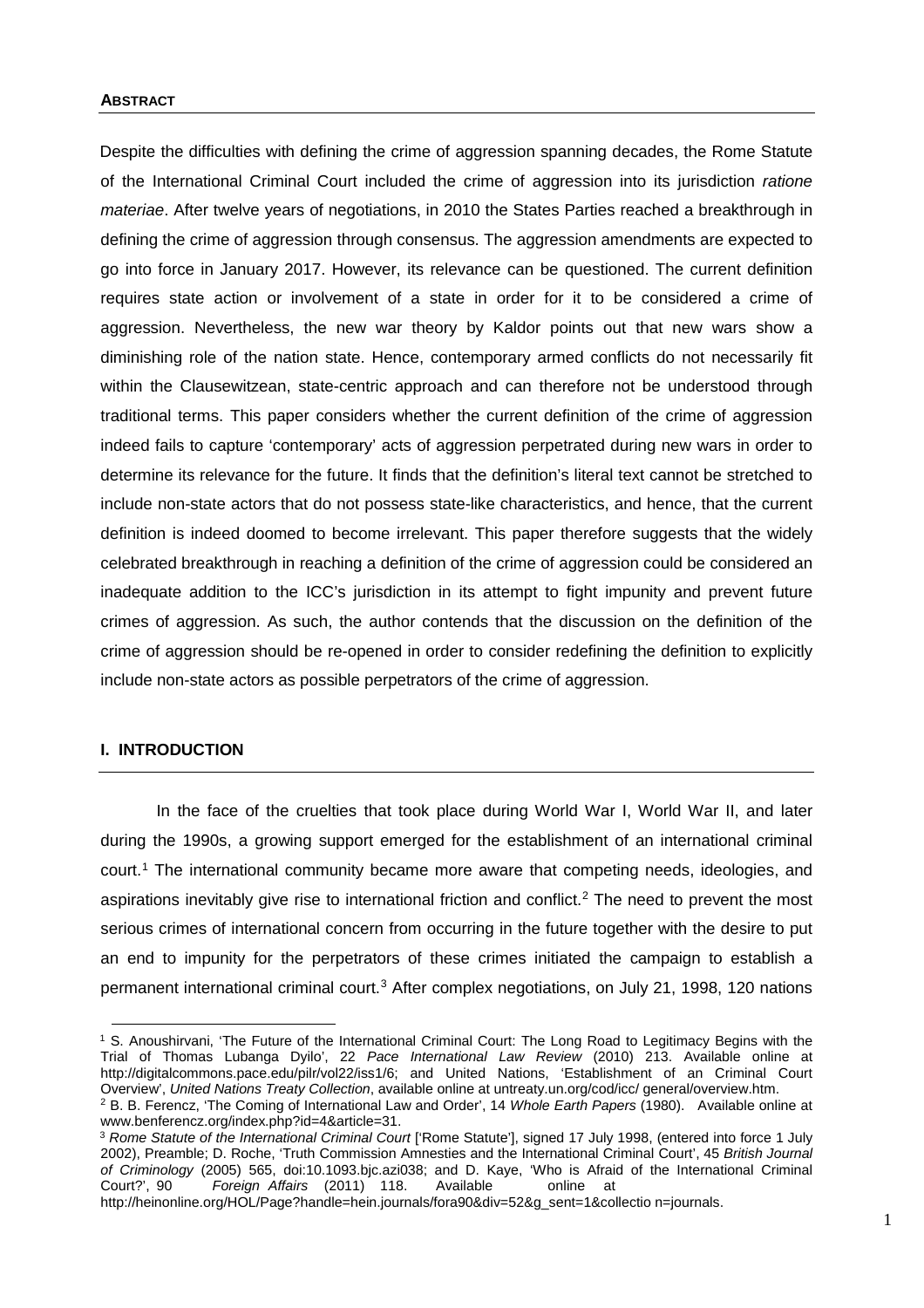Despite the difficulties with defining the crime of aggression spanning decades, the Rome Statute of the International Criminal Court included the crime of aggression into its jurisdiction *ratione materiae*. After twelve years of negotiations, in 2010 the States Parties reached a breakthrough in defining the crime of aggression through consensus. The aggression amendments are expected to go into force in January 2017. However, its relevance can be questioned. The current definition requires state action or involvement of a state in order for it to be considered a crime of aggression. Nevertheless, the new war theory by Kaldor points out that new wars show a diminishing role of the nation state. Hence, contemporary armed conflicts do not necessarily fit within the Clausewitzean, state-centric approach and can therefore not be understood through traditional terms. This paper considers whether the current definition of the crime of aggression indeed fails to capture 'contemporary' acts of aggression perpetrated during new wars in order to determine its relevance for the future. It finds that the definition's literal text cannot be stretched to include non-state actors that do not possess state-like characteristics, and hence, that the current definition is indeed doomed to become irrelevant. This paper therefore suggests that the widely celebrated breakthrough in reaching a definition of the crime of aggression could be considered an inadequate addition to the ICC's jurisdiction in its attempt to fight impunity and prevent future crimes of aggression. As such, the author contends that the discussion on the definition of the crime of aggression should be re-opened in order to consider redefining the definition to explicitly include non-state actors as possible perpetrators of the crime of aggression.

### **I. INTRODUCTION**

 $\ddot{ }$ 

In the face of the cruelties that took place during World War I, World War II, and later during the 1990s, a growing support emerged for the establishment of an international criminal court.[1](#page-1-0) The international community became more aware that competing needs, ideologies, and aspirations inevitably give rise to international friction and conflict.<sup>[2](#page-1-1)</sup> The need to prevent the most serious crimes of international concern from occurring in the future together with the desire to put an end to impunity for the perpetrators of these crimes initiated the campaign to establish a permanent international criminal court.<sup>[3](#page-1-2)</sup> After complex negotiations, on July 21, 1998, 120 nations

<span id="page-1-0"></span><sup>1</sup> S. Anoushirvani, 'The Future of the International Criminal Court: The Long Road to Legitimacy Begins with the Trial of Thomas Lubanga Dyilo', 22 *Pace International Law Review* (2010) 213. Available online at http://digitalcommons.pace.edu/pilr/vol22/iss1/6; and United Nations, 'Establishment of an Criminal Court Overview', *United Nations Treaty Collection*, available online at untreaty.un.org/cod/icc/ general/overview.htm. <sup>2</sup> B. B. Ferencz, 'The Coming of International Law and Order', 14 *Whole Earth Papers* (1980). Available online at

<span id="page-1-2"></span><span id="page-1-1"></span>www.benferencz.org/index.php?id=4&article=31. <sup>3</sup> Rome Statute of the International Criminal Court ['Rome Statute'], signed 17 July 1998, (entered into force 1 July 2002), Preamble; D. Roche, 'Truth Commission Amnesties and the International Criminal Court', 45 *British Journal* 

*of Criminology* (2005) 565, doi:10.1093.bjc.azi038; and D. Kaye, 'Who is Afraid of the International Criminal Foreign Affairs (2011) 118. Available online at http://heinonline.org/HOL/Page?handle=hein.journals/fora90&div=52&g\_sent=1&collectio n=journals.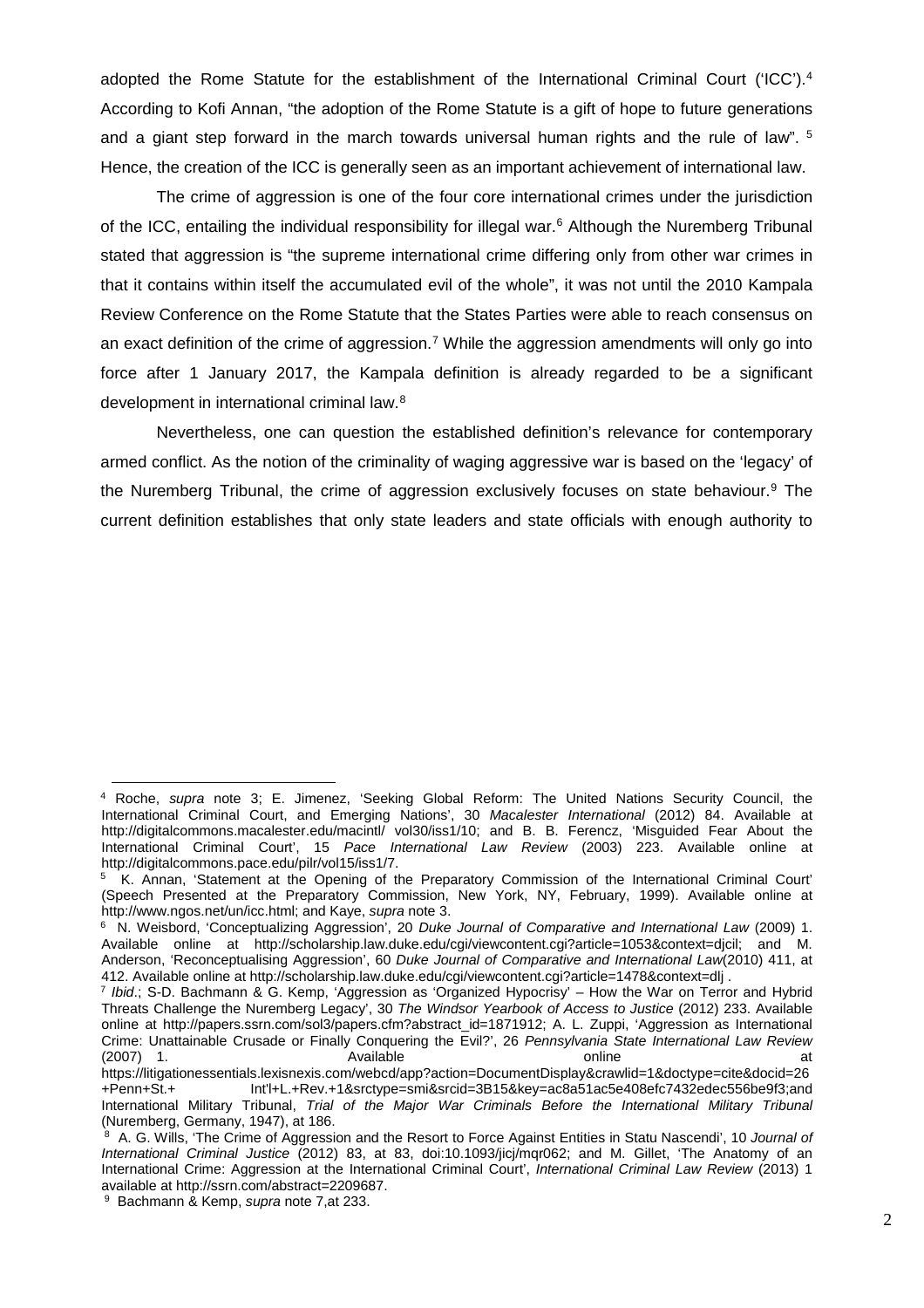adopted the Rome Statute for the establishment of the International Criminal Court ( ${}^{\circ}$ ICC').<sup>4</sup> According to Kofi Annan, "the adoption of the Rome Statute is a gift of hope to future generations and a giant step forward in the march towards universal human rights and the rule of law". [5](#page-2-1) Hence, the creation of the ICC is generally seen as an important achievement of international law.

The crime of aggression is one of the four core international crimes under the jurisdiction of the ICC, entailing the individual responsibility for illegal war.[6](#page-2-2) Although the Nuremberg Tribunal stated that aggression is "the supreme international crime differing only from other war crimes in that it contains within itself the accumulated evil of the whole", it was not until the 2010 Kampala Review Conference on the Rome Statute that the States Parties were able to reach consensus on an exact definition of the crime of aggression.<sup>[7](#page-2-3)</sup> While the aggression amendments will only go into force after 1 January 2017, the Kampala definition is already regarded to be a significant development in international criminal law[.8](#page-2-4)

Nevertheless, one can question the established definition's relevance for contemporary armed conflict. As the notion of the criminality of waging aggressive war is based on the 'legacy' of the Nuremberg Tribunal, the crime of aggression exclusively focuses on state behaviour.<sup>9</sup> The current definition establishes that only state leaders and state officials with enough authority to

<span id="page-2-0"></span><sup>4</sup> Roche, *supra* note 3; E. Jimenez, 'Seeking Global Reform: The United Nations Security Council, the International Criminal Court, and Emerging Nations', 30 *Macalester International* (2012) 84. Available at http://digitalcommons.macalester.edu/macintl/ vol30/iss1/10; and B. B. Ferencz, 'Misguided Fear About the International Criminal Court', 15 *Pace International Law Review* (2003) 223. Available online at http://digitalcommons.pace.edu/pilr/vol15/iss1/7.

<span id="page-2-1"></span><sup>5</sup> K. Annan, 'Statement at the Opening of the Preparatory Commission of the International Criminal Court' (Speech Presented at the Preparatory Commission, New York, NY, February, 1999). Available online at http://www.ngos.net/un/icc.html; and Kaye, supra note 3.

<span id="page-2-2"></span><sup>&</sup>lt;sup>6</sup> N. Weisbord, 'Conceptualizing Aggression', 20 Duke Journal of Comparative and International Law (2009) 1. Available online at http://scholarship.law.duke.edu/cgi/viewcontent.cgi?article=1053&context=djcil; and M. Anderson, 'Reconceptualising Aggression', 60 *Duke Journal of Comparative and International Law*(2010) 411, at 412. Available online at http://scholarship.law.duke.edu/cgi/viewcontent.cgi?article=1478&context=dlj .

<span id="page-2-3"></span><sup>7</sup> *Ibid*.; S-D. Bachmann & G. Kemp, 'Aggression as 'Organized Hypocrisy' – How the War on Terror and Hybrid Threats Challenge the Nuremberg Legacy', 30 *The Windsor Yearbook of Access to Justice* (2012) 233. Available online at http://papers.ssrn.com/sol3/papers.cfm?abstract\_id=1871912; A. L. Zuppi, 'Aggression as International Crime: Unattainable Crusade or Finally Conquering the Evil?', 26 *Pennsylvania State International Law Review* (2007) 1. Available online at

https://litigationessentials.lexisnexis.com/webcd/app?action=DocumentDisplay&crawlid=1&doctype=cite&docid=26 +Penn+St.+ Int'l+L.+Rev.+1&srctype=smi&srcid=3B15&key=ac8a51ac5e408efc7432edec556be9f3;and International Military Tribunal, *Trial of the Major War Criminals Before the International Military Tribunal* (Nuremberg, Germany, 1947), at 186.

<span id="page-2-4"></span><sup>8</sup> A. G. Wills, 'The Crime of Aggression and the Resort to Force Against Entities in Statu Nascendi', 10 *Journal of International Criminal Justice* (2012) 83, at 83, doi:10.1093/jicj/mqr062; and M. Gillet, 'The Anatomy of an International Crime: Aggression at the International Criminal Court', *International Criminal Law Review* (2013) 1 available at http://ssrn.com/abstract=2209687.

<span id="page-2-5"></span><sup>9</sup> Bachmann & Kemp, *supra* note 7,at 233.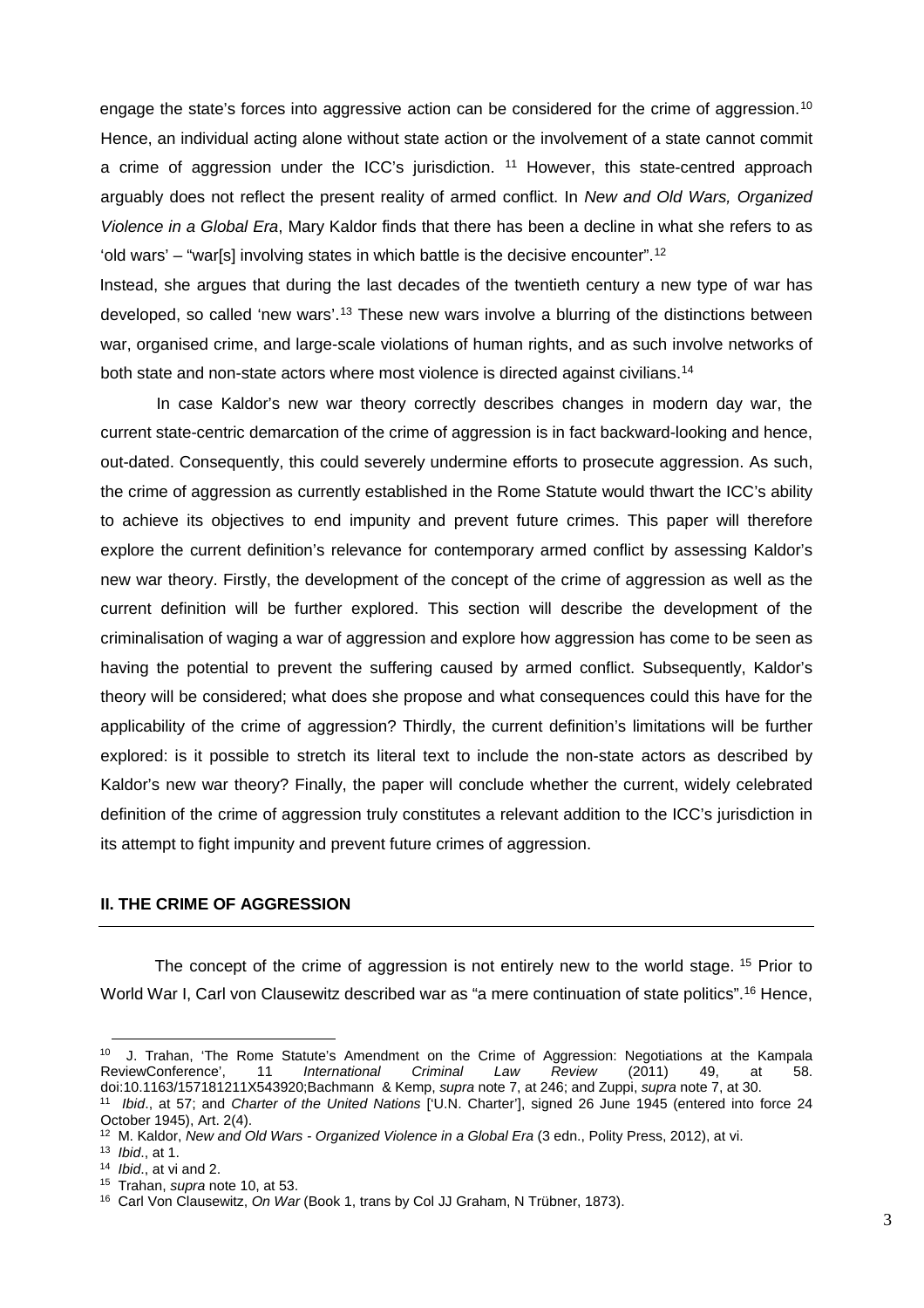engage the state's forces into aggressive action can be considered for the crime of aggression.<sup>[10](#page-3-0)</sup> Hence, an individual acting alone without state action or the involvement of a state cannot commit a crime of aggression under the ICC's jurisdiction. <sup>[11](#page-3-1)</sup> However, this state-centred approach arguably does not reflect the present reality of armed conflict. In *New and Old Wars, Organized Violence in a Global Era*, Mary Kaldor finds that there has been a decline in what she refers to as 'old wars' – "war[s] involving states in which battle is the decisive encounter".<sup>[12](#page-3-2)</sup>

Instead, she argues that during the last decades of the twentieth century a new type of war has developed, so called 'new wars'.<sup>[13](#page-3-3)</sup> These new wars involve a blurring of the distinctions between war, organised crime, and large-scale violations of human rights, and as such involve networks of both state and non-state actors where most violence is directed against civilians.<sup>14</sup>

In case Kaldor's new war theory correctly describes changes in modern day war, the current state-centric demarcation of the crime of aggression is in fact backward-looking and hence, out-dated. Consequently, this could severely undermine efforts to prosecute aggression. As such, the crime of aggression as currently established in the Rome Statute would thwart the ICC's ability to achieve its objectives to end impunity and prevent future crimes. This paper will therefore explore the current definition's relevance for contemporary armed conflict by assessing Kaldor's new war theory. Firstly, the development of the concept of the crime of aggression as well as the current definition will be further explored. This section will describe the development of the criminalisation of waging a war of aggression and explore how aggression has come to be seen as having the potential to prevent the suffering caused by armed conflict. Subsequently, Kaldor's theory will be considered; what does she propose and what consequences could this have for the applicability of the crime of aggression? Thirdly, the current definition's limitations will be further explored: is it possible to stretch its literal text to include the non-state actors as described by Kaldor's new war theory? Finally, the paper will conclude whether the current, widely celebrated definition of the crime of aggression truly constitutes a relevant addition to the ICC's jurisdiction in its attempt to fight impunity and prevent future crimes of aggression.

# **II. THE CRIME OF AGGRESSION**

The concept of the crime of aggression is not entirely new to the world stage. <sup>[15](#page-3-5)</sup> Prior to World War I, Carl von Clausewitz described war as "a mere continuation of state politics".<sup>[16](#page-3-6)</sup> Hence,

<span id="page-3-0"></span><sup>&</sup>lt;sup>10</sup> J. Trahan, 'The Rome Statute's Amendment on the Crime of Aggression: Negotiations at the Kampala<br>ReviewConference', 11 International Criminal Law Review (2011) 49, at 58. ReviewConference', 11 *International Criminal Law Review* (2011) 49, at 58. doi:10.1163/157181211X543920;Bachmann & Kemp, *supra* note 7, at 246; and Zuppi, *supra* note 7, at 30.

<span id="page-3-1"></span><sup>11</sup> *Ibid*., at 57; and *Charter of the United Nations* ['U.N. Charter'], signed 26 June 1945 (entered into force 24 October 1945), Art. 2(4).

<sup>12</sup> M. Kaldor, *New and Old Wars - Organized Violence in a Global Era* (3 edn., Polity Press, 2012), at vi.

<span id="page-3-3"></span><span id="page-3-2"></span><sup>13</sup> *Ibid*., at 1.

<span id="page-3-4"></span><sup>14</sup> *Ibid*., at vi and 2.

<span id="page-3-5"></span><sup>15</sup> Trahan, *supra* note 10, at 53.

<span id="page-3-6"></span><sup>16</sup> Carl Von Clausewitz, *On War* (Book 1, trans by Col JJ Graham, N Trübner, 1873).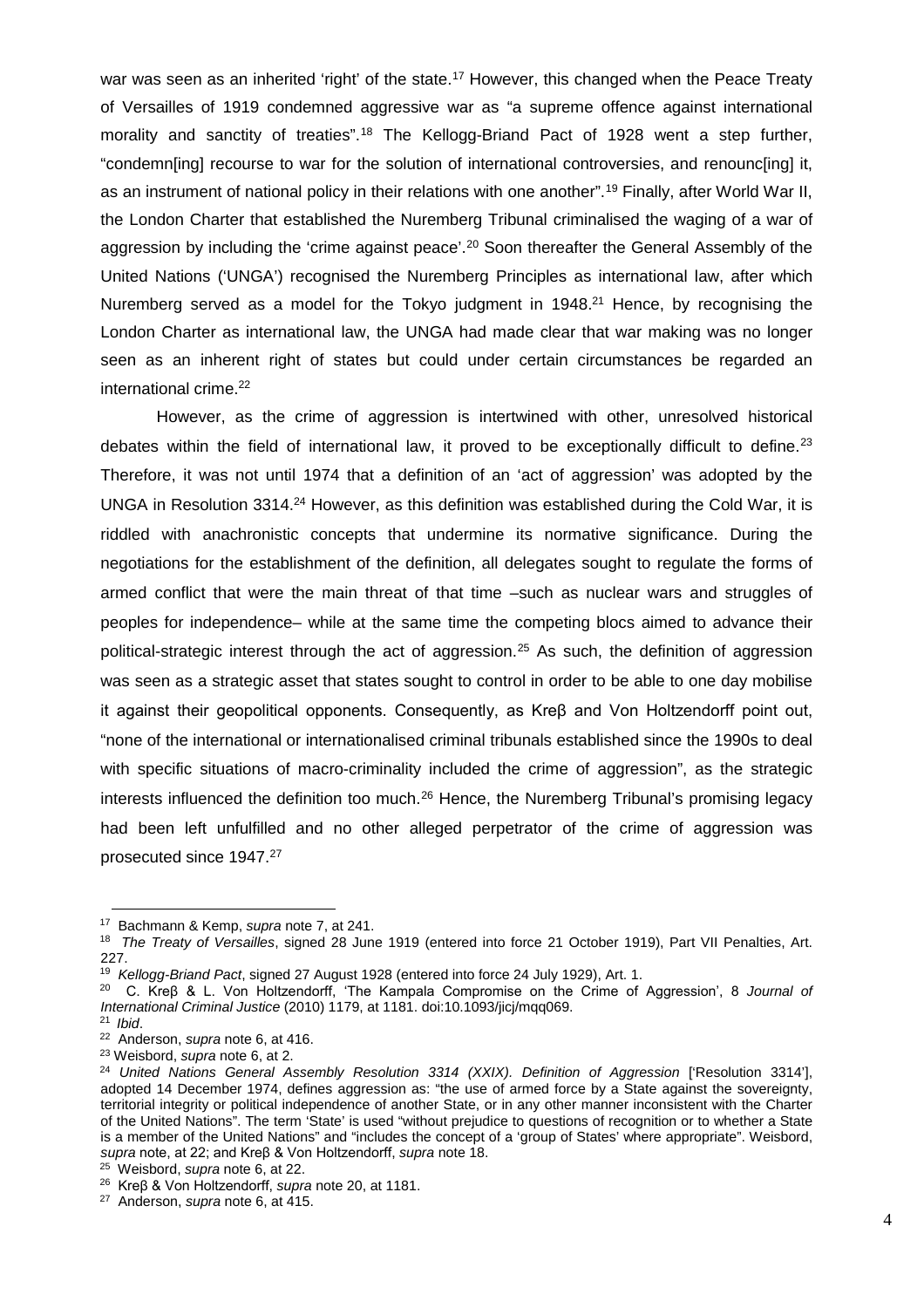war was seen as an inherited 'right' of the state.<sup>17</sup> However, this changed when the Peace Treaty of Versailles of 1919 condemned aggressive war as "a supreme offence against international morality and sanctity of treaties".<sup>[18](#page-4-1)</sup> The Kellogg-Briand Pact of 1928 went a step further, "condemn[ing] recourse to war for the solution of international controversies, and renounc[ing] it, as an instrument of national policy in their relations with one another".[19](#page-4-2) Finally, after World War II, the London Charter that established the Nuremberg Tribunal criminalised the waging of a war of aggression by including the 'crime against peace'.<sup>[20](#page-4-3)</sup> Soon thereafter the General Assembly of the United Nations ('UNGA') recognised the Nuremberg Principles as international law, after which Nuremberg served as a model for the Tokyo judgment in 1948.<sup>21</sup> Hence, by recognising the London Charter as international law, the UNGA had made clear that war making was no longer seen as an inherent right of states but could under certain circumstances be regarded an international crime.22

However, as the crime of aggression is intertwined with other, unresolved historical debates within the field of international law, it proved to be exceptionally difficult to define.<sup>[23](#page-4-4)</sup> Therefore, it was not until 1974 that a definition of an 'act of aggression' was adopted by the UNGA in Resolution 3314.24 However, as this definition was established during the Cold War, it is riddled with anachronistic concepts that undermine its normative significance. During the negotiations for the establishment of the definition, all delegates sought to regulate the forms of armed conflict that were the main threat of that time –such as nuclear wars and struggles of peoples for independence– while at the same time the competing blocs aimed to advance their political-strategic interest through the act of aggression.<sup>[25](#page-4-5)</sup> As such, the definition of aggression was seen as a strategic asset that states sought to control in order to be able to one day mobilise it against their geopolitical opponents. Consequently, as Kreβ and Von Holtzendorff point out, "none of the international or internationalised criminal tribunals established since the 1990s to deal with specific situations of macro-criminality included the crime of aggression", as the strategic interests influenced the definition too much.[26](#page-4-6) Hence, the Nuremberg Tribunal's promising legacy had been left unfulfilled and no other alleged perpetrator of the crime of aggression was prosecuted since 1947.[27](#page-4-7) 

<span id="page-4-1"></span><span id="page-4-0"></span><sup>&</sup>lt;sup>17</sup> Bachmann & Kemp, *supra* note 7, at 241.<br><sup>18</sup> *The Treaty of Versailles*, signed 28 June 1919 (entered into force 21 October 1919), Part VII Penalties, Art. 227.<br><sup>19</sup> Kellogg-Briand Pact, signed 27 August 1928 (entered into force 24 July 1929), Art. 1.

<span id="page-4-3"></span><span id="page-4-2"></span><sup>&</sup>lt;sup>20</sup> C. Kreβ & L. Von Holtzendorff, 'The Kampala Compromise on the Crime of Aggression', 8 *Journal of International Criminal Justice* (2010) 1179, at 1181. doi:10.1093/jicj/mqq069.

<span id="page-4-4"></span>

<sup>&</sup>lt;sup>21</sup> Ibid.<br><sup>22</sup> Anderson, supra note 6, at 416.<br><sup>23</sup> Weisbord, supra note 6, at 2.<br><sup>24</sup> United Nations General Assembly Resolution 3314 (XXIX). Definition of Aggression ['Resolution 3314'], adopted 14 December 1974, defines aggression as: "the use of armed force by a State against the sovereignty, territorial integrity or political independence of another State, or in any other manner inconsistent with the Charter of the United Nations". The term 'State' is used "without prejudice to questions of recognition or to whether a State is a member of the United Nations" and "includes the concept of a 'group of States' where appropriate". Weisbord, supra note, at 22; and Kreß & Von Holtzendorff, supra note 18.

<span id="page-4-6"></span><span id="page-4-5"></span>*supra* note, at 22; and Kreβ & Von Holtzendorff, *supra* note 18. 25 Weisbord, *supra* note 6, at 22. 26 Kreβ & Von Holtzendorff, *supra* note 20, at 1181. 27 Anderson, *supra* note 6, at 415.

<span id="page-4-7"></span>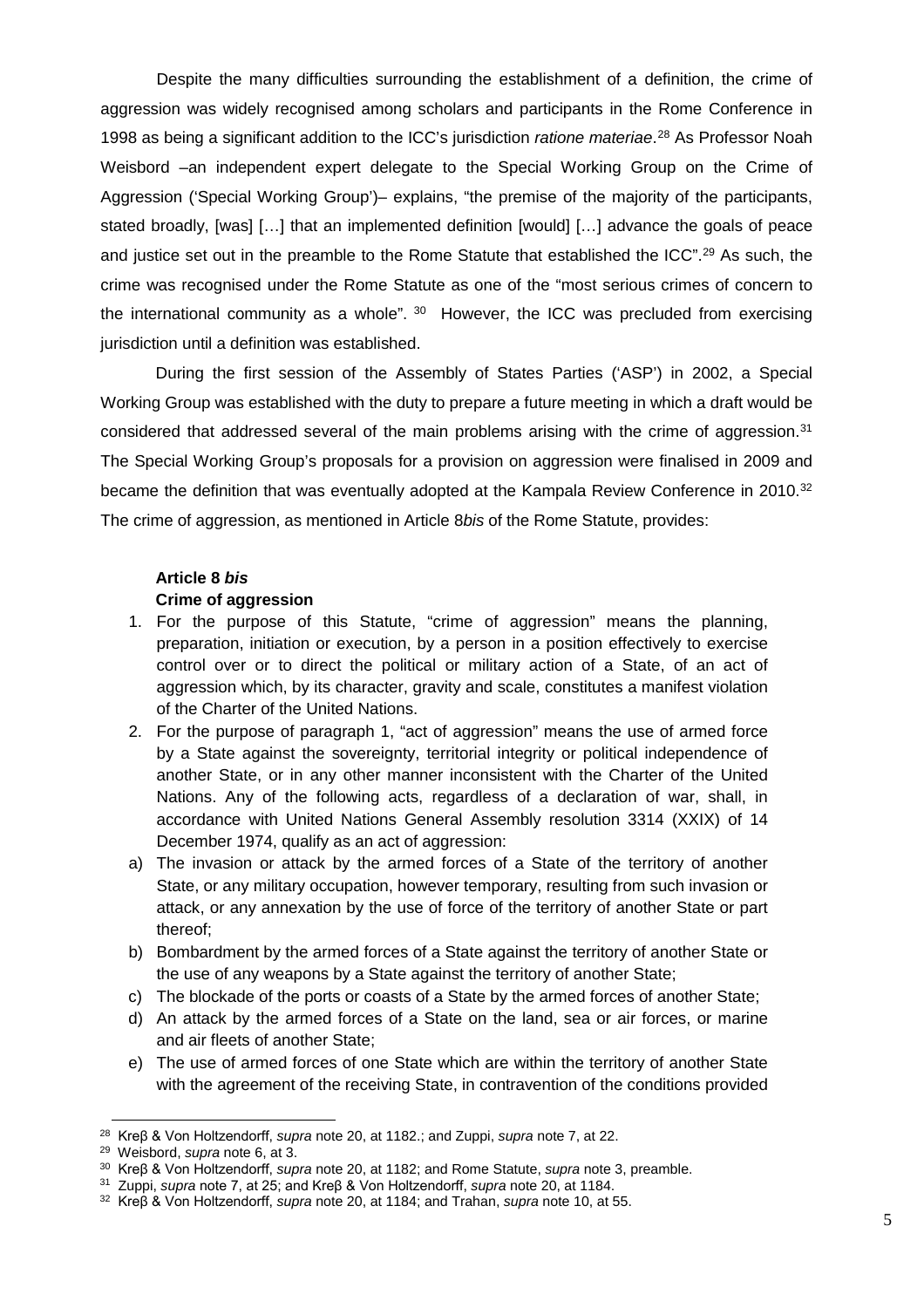Despite the many difficulties surrounding the establishment of a definition, the crime of aggression was widely recognised among scholars and participants in the Rome Conference in 1998 as being a significant addition to the ICC's jurisdiction *ratione materiae*. [28](#page-5-0) As Professor Noah Weisbord –an independent expert delegate to the Special Working Group on the Crime of Aggression ('Special Working Group')– explains, "the premise of the majority of the participants, stated broadly, [was] […] that an implemented definition [would] […] advance the goals of peace and justice set out in the preamble to the Rome Statute that established the ICC".[29](#page-5-1) As such, the crime was recognised under the Rome Statute as one of the "most serious crimes of concern to the international community as a whole".  $30$  However, the ICC was precluded from exercising jurisdiction until a definition was established.

During the first session of the Assembly of States Parties ('ASP') in 2002, a Special Working Group was established with the duty to prepare a future meeting in which a draft would be considered that addressed several of the main problems arising with the crime of aggression.<sup>31</sup> The Special Working Group's proposals for a provision on aggression were finalised in 2009 and became the definition that was eventually adopted at the Kampala Review Conference in 2010.<sup>32</sup> The crime of aggression, as mentioned in Article 8*bis* of the Rome Statute, provides:

# **Article 8** *bis*

## **Crime of aggression**

- 1. For the purpose of this Statute, "crime of aggression" means the planning, preparation, initiation or execution, by a person in a position effectively to exercise control over or to direct the political or military action of a State, of an act of aggression which, by its character, gravity and scale, constitutes a manifest violation of the Charter of the United Nations.
- 2. For the purpose of paragraph 1, "act of aggression" means the use of armed force by a State against the sovereignty, territorial integrity or political independence of another State, or in any other manner inconsistent with the Charter of the United Nations. Any of the following acts, regardless of a declaration of war, shall, in accordance with United Nations General Assembly resolution 3314 (XXIX) of 14 December 1974, qualify as an act of aggression:
- a) The invasion or attack by the armed forces of a State of the territory of another State, or any military occupation, however temporary, resulting from such invasion or attack, or any annexation by the use of force of the territory of another State or part thereof;
- b) Bombardment by the armed forces of a State against the territory of another State or the use of any weapons by a State against the territory of another State;
- c) The blockade of the ports or coasts of a State by the armed forces of another State;
- d) An attack by the armed forces of a State on the land, sea or air forces, or marine and air fleets of another State;
- e) The use of armed forces of one State which are within the territory of another State with the agreement of the receiving State, in contravention of the conditions provided

<span id="page-5-1"></span><span id="page-5-0"></span><sup>&</sup>lt;sup>28</sup> Kreß & Von Holtzendorff, *supra* note 20, at 1182.; and Zuppi, *supra* note 7, at 22.<br><sup>29</sup> Weisbord, *supra* note 6, at 3.<br><sup>30</sup> Kreß & Von Holtzendorff, *supra* note 20, at 1182; and Rome Statute, *supra* note 3, pre

<span id="page-5-3"></span><span id="page-5-2"></span>

<span id="page-5-4"></span>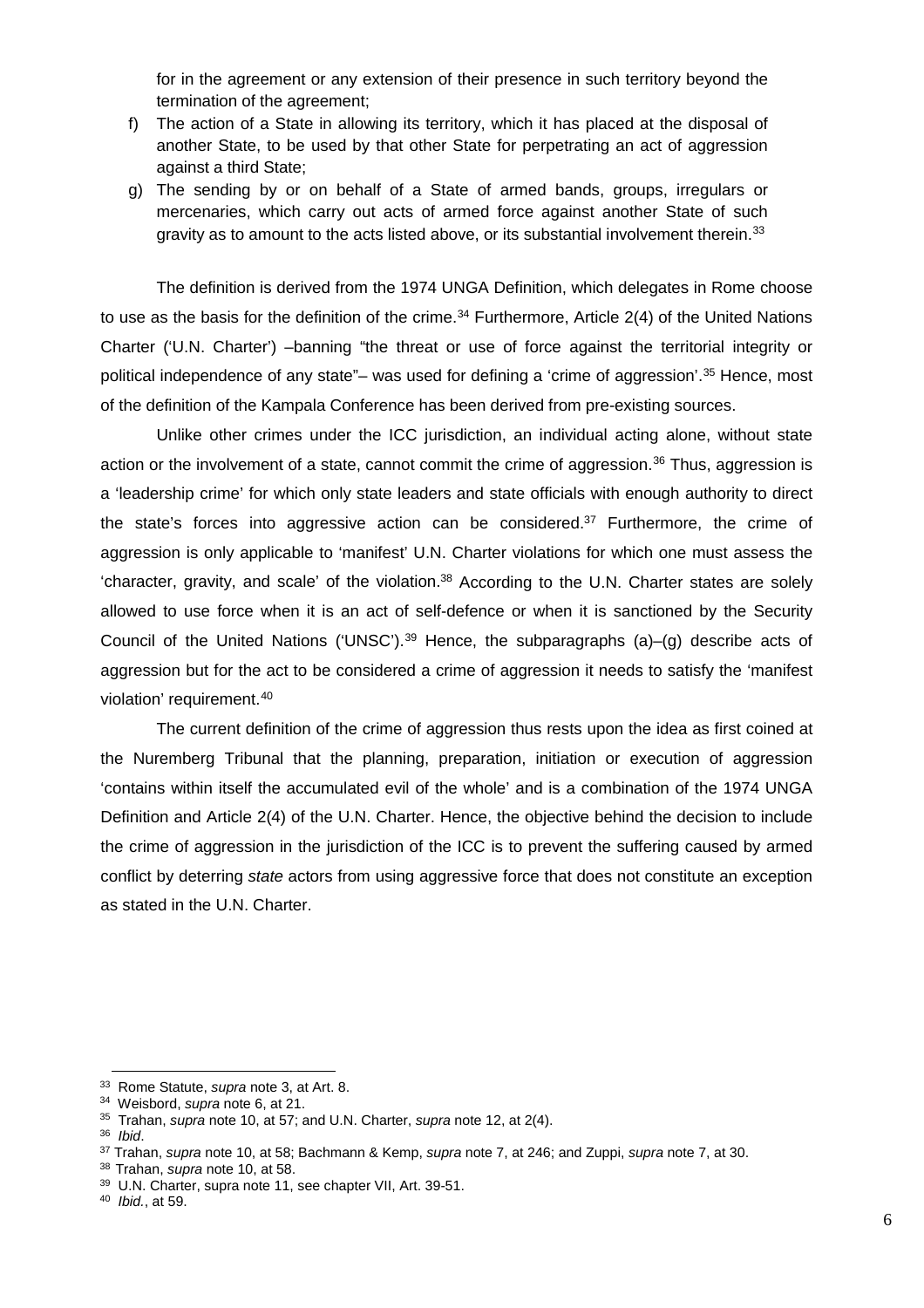for in the agreement or any extension of their presence in such territory beyond the termination of the agreement;

- f) The action of a State in allowing its territory, which it has placed at the disposal of another State, to be used by that other State for perpetrating an act of aggression against a third State;
- g) The sending by or on behalf of a State of armed bands, groups, irregulars or mercenaries, which carry out acts of armed force against another State of such gravity as to amount to the acts listed above, or its substantial involvement therein.[33](#page-6-0)

The definition is derived from the 1974 UNGA Definition, which delegates in Rome choose to use as the basis for the definition of the crime.<sup>[34](#page-6-1)</sup> Furthermore, Article  $2(4)$  of the United Nations Charter ('U.N. Charter') –banning "the threat or use of force against the territorial integrity or political independence of any state"– was used for defining a 'crime of aggression'.<sup>[35](#page-6-2)</sup> Hence, most of the definition of the Kampala Conference has been derived from pre-existing sources.

Unlike other crimes under the ICC jurisdiction, an individual acting alone, without state action or the involvement of a state, cannot commit the crime of aggression.<sup>[36](#page-6-3)</sup> Thus, aggression is a 'leadership crime' for which only state leaders and state officials with enough authority to direct the state's forces into aggressive action can be considered. $37$  Furthermore, the crime of aggression is only applicable to 'manifest' U.N. Charter violations for which one must assess the 'character, gravity, and scale' of the violation.<sup>38</sup> According to the U.N. Charter states are solely allowed to use force when it is an act of self-defence or when it is sanctioned by the Security Council of the United Nations ('UNSC').<sup>[39](#page-6-4)</sup> Hence, the subparagraphs (a)–(g) describe acts of aggression but for the act to be considered a crime of aggression it needs to satisfy the 'manifest violation' requirement.[40](#page-6-5) 

The current definition of the crime of aggression thus rests upon the idea as first coined at the Nuremberg Tribunal that the planning, preparation, initiation or execution of aggression 'contains within itself the accumulated evil of the whole' and is a combination of the 1974 UNGA Definition and Article 2(4) of the U.N. Charter. Hence, the objective behind the decision to include the crime of aggression in the jurisdiction of the ICC is to prevent the suffering caused by armed conflict by deterring *state* actors from using aggressive force that does not constitute an exception as stated in the U.N. Charter.

 $\ddot{ }$ 

<span id="page-6-2"></span>

<span id="page-6-1"></span><span id="page-6-0"></span><sup>33</sup> Rome Statute, *supra* note 3, at Art. 8. 34 Weisbord, *supra* note 6, at 21. 35 Trahan, *supra* note 10, at 57; and U.N. Charter, *supra* note 12, at 2(4). 36 *Ibid*.

<span id="page-6-3"></span><sup>37</sup> Trahan, *supra* note 10, at 58; Bachmann & Kemp, *supra* note 7, at 246; and Zuppi, *supra* note 7, at 30.

<span id="page-6-5"></span><span id="page-6-4"></span><sup>&</sup>lt;sup>39</sup> U.N. Charter, supra note 11, see chapter VII, Art. 39-51.<br><sup>40</sup> *Ibid.*, at 59.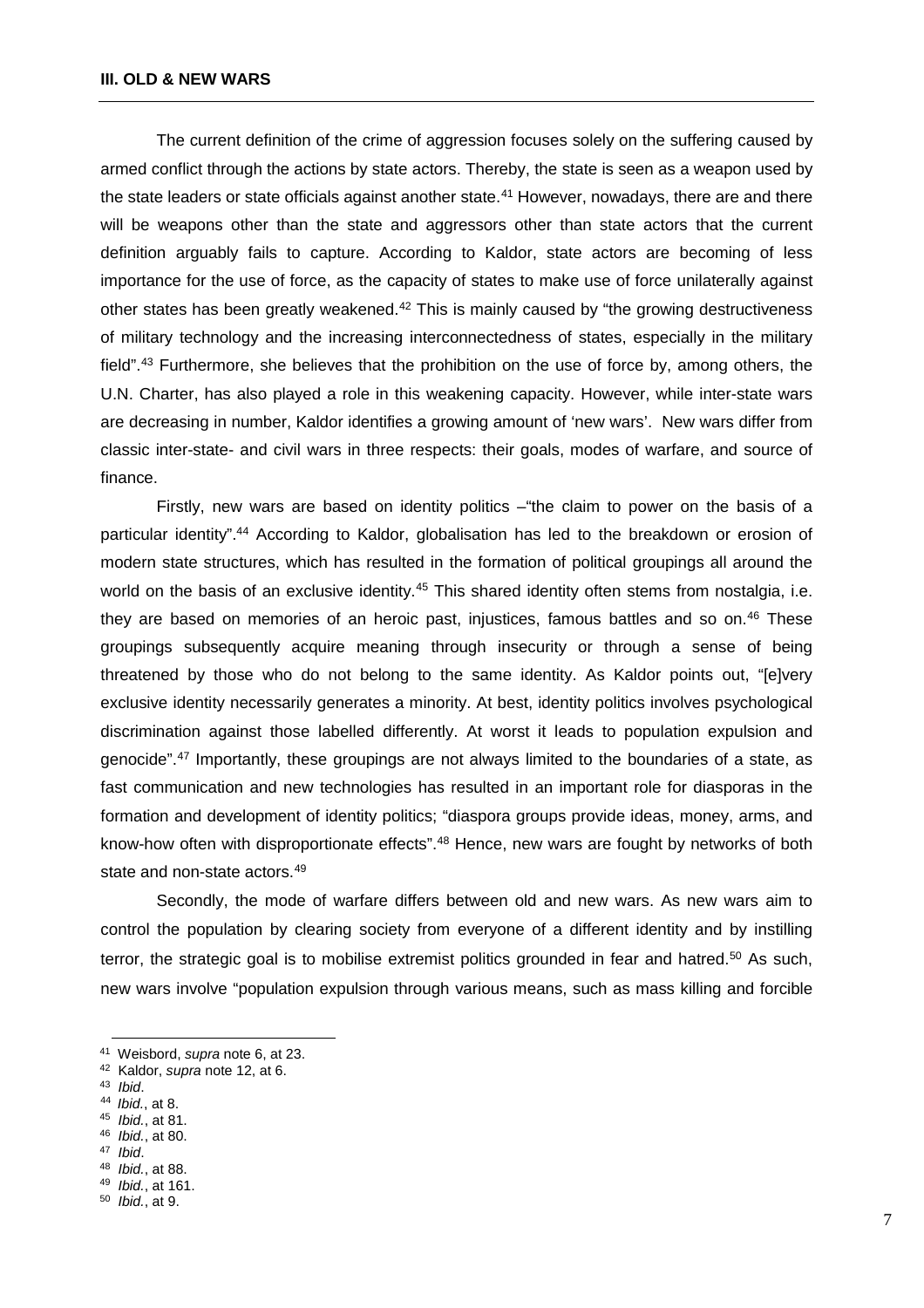The current definition of the crime of aggression focuses solely on the suffering caused by armed conflict through the actions by state actors. Thereby, the state is seen as a weapon used by the state leaders or state officials against another state.<sup>[41](#page-7-0)</sup> However, nowadays, there are and there will be weapons other than the state and aggressors other than state actors that the current definition arguably fails to capture. According to Kaldor, state actors are becoming of less importance for the use of force, as the capacity of states to make use of force unilaterally against other states has been greatly weakened.<sup>[42](#page-7-1)</sup> This is mainly caused by "the growing destructiveness of military technology and the increasing interconnectedness of states, especially in the military field".[43](#page-7-2) Furthermore, she believes that the prohibition on the use of force by, among others, the U.N. Charter, has also played a role in this weakening capacity. However, while inter-state wars are decreasing in number, Kaldor identifies a growing amount of 'new wars'. New wars differ from classic inter-state- and civil wars in three respects: their goals, modes of warfare, and source of finance.

Firstly, new wars are based on identity politics –"the claim to power on the basis of a particular identity".<sup>44</sup> According to Kaldor, globalisation has led to the breakdown or erosion of modern state structures, which has resulted in the formation of political groupings all around the world on the basis of an exclusive identity.<sup>[45](#page-7-3)</sup> This shared identity often stems from nostalgia, i.e. they are based on memories of an heroic past, injustices, famous battles and so on.<sup>[46](#page-7-4)</sup> These groupings subsequently acquire meaning through insecurity or through a sense of being threatened by those who do not belong to the same identity. As Kaldor points out, "[e]very exclusive identity necessarily generates a minority. At best, identity politics involves psychological discrimination against those labelled differently. At worst it leads to population expulsion and genocide".[47](#page-7-5) Importantly, these groupings are not always limited to the boundaries of a state, as fast communication and new technologies has resulted in an important role for diasporas in the formation and development of identity politics; "diaspora groups provide ideas, money, arms, and know-how often with disproportionate effects".<sup>[48](#page-7-6)</sup> Hence, new wars are fought by networks of both state and non-state actors.<sup>[49](#page-7-7)</sup>

Secondly, the mode of warfare differs between old and new wars. As new wars aim to control the population by clearing society from everyone of a different identity and by instilling terror, the strategic goal is to mobilise extremist politics grounded in fear and hatred.<sup>[50](#page-7-8)</sup> As such, new wars involve "population expulsion through various means, such as mass killing and forcible

 $\ddot{ }$ 

- 
- <span id="page-7-3"></span>
- <span id="page-7-4"></span>
- <span id="page-7-6"></span><span id="page-7-5"></span>
- 
- <span id="page-7-7"></span>

<span id="page-7-1"></span><span id="page-7-0"></span><sup>&</sup>lt;sup>41</sup> Weisbord, *supra* note 6, at 23.<br>
<sup>42</sup> Kaldor, *supra* note 12, at 6.<br>
<sup>43</sup> *lbid.*<br>
<sup>44</sup> *lbid.*, at 8.<br>
<sup>45</sup> *lbid.*, at 81.<br>
<sup>46</sup> *lbid.*, at 80.<br>
<sup>47</sup> *lbid.*, at 88.<br>
<sup>48</sup> *lbid.*, at 88.<br>
<sup>49</sup> *lbid.*, at 161.<br>

<span id="page-7-2"></span>

<span id="page-7-8"></span>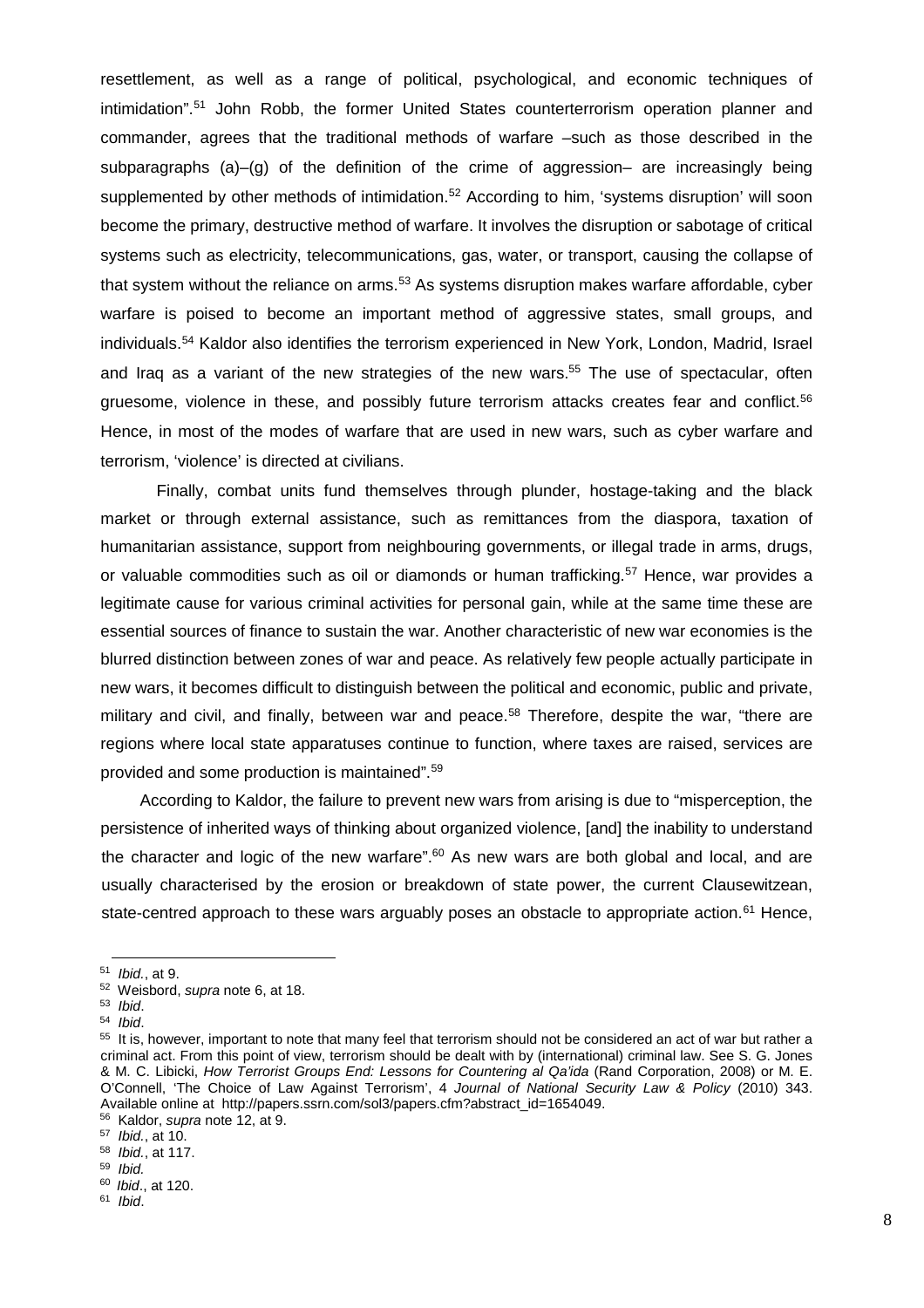resettlement, as well as a range of political, psychological, and economic techniques of intimidation".[51](#page-8-0) John Robb, the former United States counterterrorism operation planner and commander, agrees that the traditional methods of warfare –such as those described in the subparagraphs  $(a)$ – $(g)$  of the definition of the crime of aggression– are increasingly being supplemented by other methods of intimidation.<sup>[52](#page-8-1)</sup> According to him, 'systems disruption' will soon become the primary, destructive method of warfare. It involves the disruption or sabotage of critical systems such as electricity, telecommunications, gas, water, or transport, causing the collapse of that system without the reliance on arms.<sup>[53](#page-8-2)</sup> As systems disruption makes warfare affordable, cyber warfare is poised to become an important method of aggressive states, small groups, and individuals.[54](#page-8-3) Kaldor also identifies the terrorism experienced in New York, London, Madrid, Israel and Iraq as a variant of the new strategies of the new wars.<sup>55</sup> The use of spectacular, often gruesome, violence in these, and possibly future terrorism attacks creates fear and conflict.<sup>56</sup> Hence, in most of the modes of warfare that are used in new wars, such as cyber warfare and terrorism, 'violence' is directed at civilians.

Finally, combat units fund themselves through plunder, hostage-taking and the black market or through external assistance, such as remittances from the diaspora, taxation of humanitarian assistance, support from neighbouring governments, or illegal trade in arms, drugs, or valuable commodities such as oil or diamonds or human trafficking.<sup>[57](#page-8-5)</sup> Hence, war provides a legitimate cause for various criminal activities for personal gain, while at the same time these are essential sources of finance to sustain the war. Another characteristic of new war economies is the blurred distinction between zones of war and peace. As relatively few people actually participate in new wars, it becomes difficult to distinguish between the political and economic, public and private, military and civil, and finally, between war and peace.<sup>58</sup> Therefore, despite the war, "there are regions where local state apparatuses continue to function, where taxes are raised, services are provided and some production is maintained".[59](#page-8-7)

According to Kaldor, the failure to prevent new wars from arising is due to "misperception, the persistence of inherited ways of thinking about organized violence, [and] the inability to understand the character and logic of the new warfare".<sup>60</sup> As new wars are both global and local, and are usually characterised by the erosion or breakdown of state power, the current Clausewitzean, state-centred approach to these wars arguably poses an obstacle to appropriate action.<sup>[61](#page-8-8)</sup> Hence,

<sup>51</sup> *Ibid.*, at 9.

<span id="page-8-3"></span>

<span id="page-8-2"></span><span id="page-8-1"></span><span id="page-8-0"></span><sup>52</sup> Weisbord, *supra* note 6, at 18.<br>
53 *Ibid.*<br>
54 *Ibid.*<br>
55 It is, however, important to note that many feel that terrorism should not be considered an act of war but rather a criminal act. From this point of view, terrorism should be dealt with by (international) criminal law. See S. G. Jones & M. C. Libicki, *How Terrorist Groups End: Lessons for Countering al Qa'ida* (Rand Corporation, 2008) or M. E. O'Connell, 'The Choice of Law Against Terrorism', 4 *Journal of National Security Law & Policy* (2010) 343. Available online at http://papers.ssrn.com/sol3/papers.cfm?abstract\_id=1654049.

<span id="page-8-4"></span><sup>56</sup> Kaldor, *supra* note 12, at 9. 57 *Ibid.*, at 10. 58 *Ibid.*, at 117. 59 *Ibid.*

<span id="page-8-6"></span><span id="page-8-5"></span>

<span id="page-8-7"></span><sup>60</sup>*Ibid*., at 120. 61 *Ibid*.

<span id="page-8-8"></span>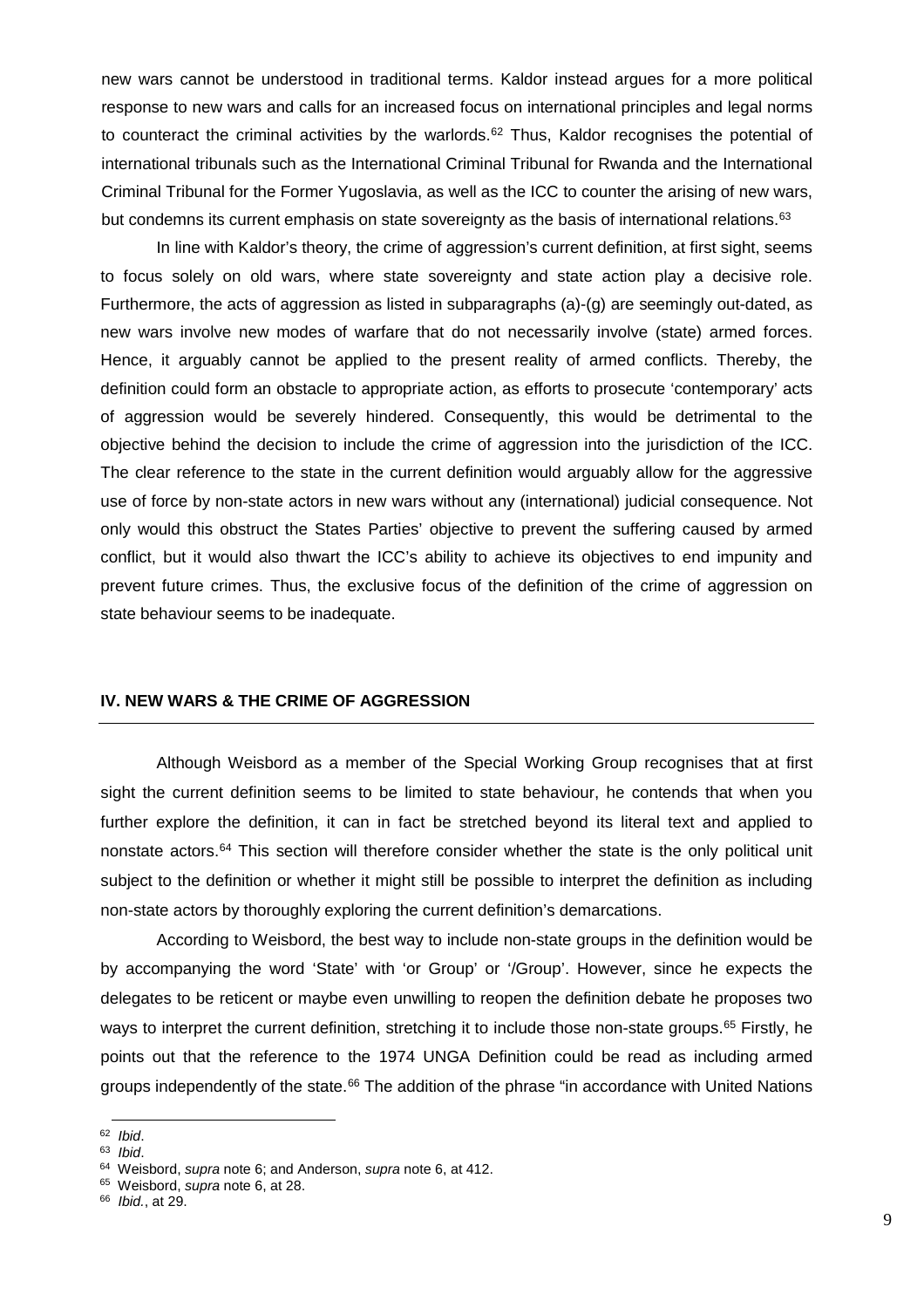new wars cannot be understood in traditional terms. Kaldor instead argues for a more political response to new wars and calls for an increased focus on international principles and legal norms to counteract the criminal activities by the warlords.<sup>[62](#page-9-0)</sup> Thus, Kaldor recognises the potential of international tribunals such as the International Criminal Tribunal for Rwanda and the International Criminal Tribunal for the Former Yugoslavia, as well as the ICC to counter the arising of new wars, but condemns its current emphasis on state sovereignty as the basis of international relations.<sup>[63](#page-9-1)</sup>

In line with Kaldor's theory, the crime of aggression's current definition, at first sight, seems to focus solely on old wars, where state sovereignty and state action play a decisive role. Furthermore, the acts of aggression as listed in subparagraphs (a)-(g) are seemingly out-dated, as new wars involve new modes of warfare that do not necessarily involve (state) armed forces. Hence, it arguably cannot be applied to the present reality of armed conflicts. Thereby, the definition could form an obstacle to appropriate action, as efforts to prosecute 'contemporary' acts of aggression would be severely hindered. Consequently, this would be detrimental to the objective behind the decision to include the crime of aggression into the jurisdiction of the ICC. The clear reference to the state in the current definition would arguably allow for the aggressive use of force by non-state actors in new wars without any (international) judicial consequence. Not only would this obstruct the States Parties' objective to prevent the suffering caused by armed conflict, but it would also thwart the ICC's ability to achieve its objectives to end impunity and prevent future crimes. Thus, the exclusive focus of the definition of the crime of aggression on state behaviour seems to be inadequate.

#### **IV. NEW WARS & THE CRIME OF AGGRESSION**

Although Weisbord as a member of the Special Working Group recognises that at first sight the current definition seems to be limited to state behaviour, he contends that when you further explore the definition, it can in fact be stretched beyond its literal text and applied to nonstate actors[.64](#page-9-2) This section will therefore consider whether the state is the only political unit subject to the definition or whether it might still be possible to interpret the definition as including non-state actors by thoroughly exploring the current definition's demarcations.

According to Weisbord, the best way to include non-state groups in the definition would be by accompanying the word 'State' with 'or Group' or '/Group'. However, since he expects the delegates to be reticent or maybe even unwilling to reopen the definition debate he proposes two ways to interpret the current definition, stretching it to include those non-state groups.<sup>[65](#page-9-3)</sup> Firstly, he points out that the reference to the 1974 UNGA Definition could be read as including armed groups independently of the state.<sup>[66](#page-9-4)</sup> The addition of the phrase "in accordance with United Nations

<span id="page-9-0"></span> $62$  Ibid.

<span id="page-9-2"></span><span id="page-9-1"></span><sup>62</sup>*Ibid*. 63 *Ibid*. 64 Weisbord, *supra* note 6; and Anderson, *supra* note 6, at 412. 65 Weisbord, *supra* note 6, at 28. 66 *Ibid.*, at 29.

<span id="page-9-3"></span>

<span id="page-9-4"></span>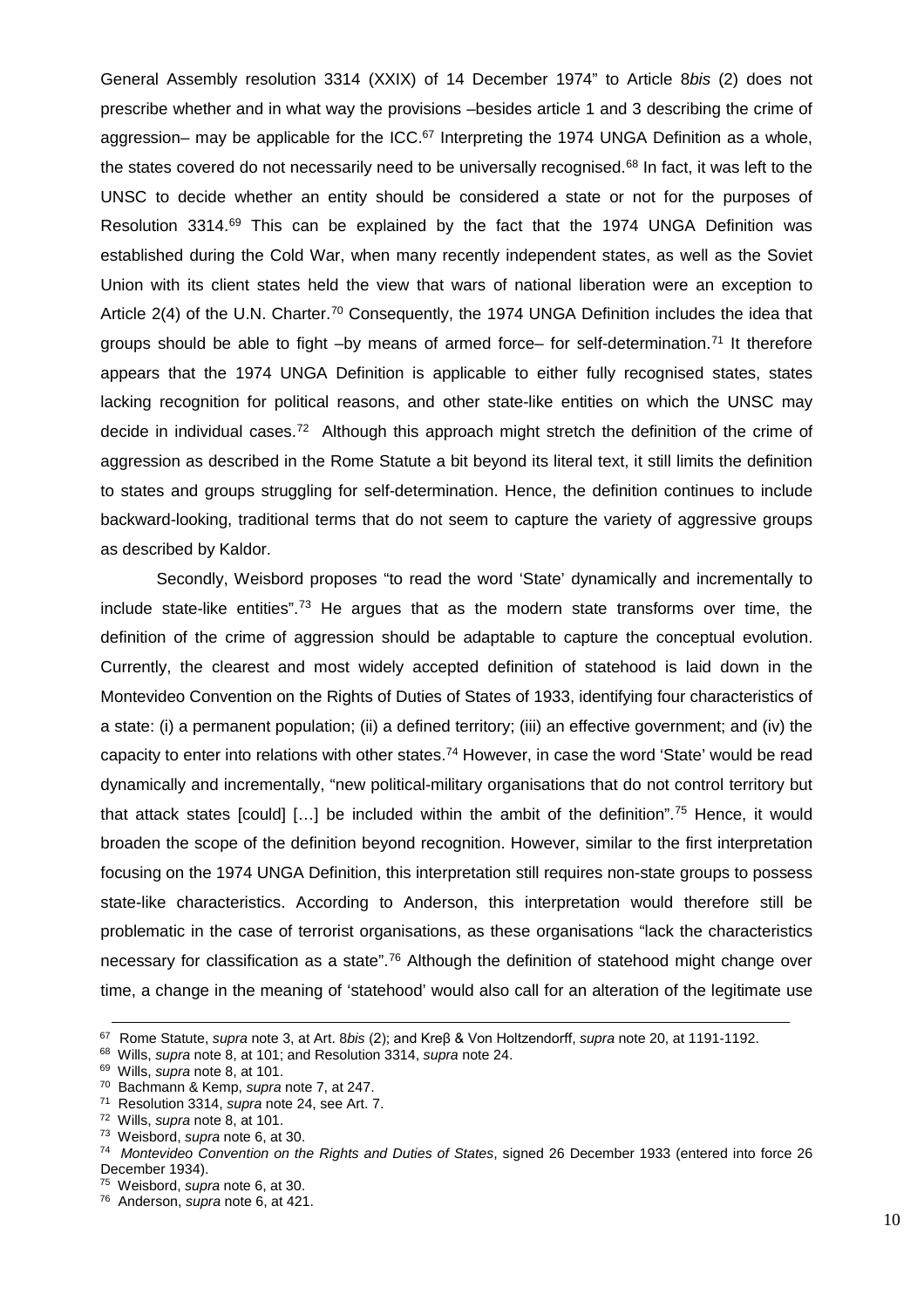General Assembly resolution 3314 (XXIX) of 14 December 1974" to Article 8*bis* (2) does not prescribe whether and in what way the provisions –besides article 1 and 3 describing the crime of aggression– may be applicable for the ICC.<sup>67</sup> Interpreting the 1974 UNGA Definition as a whole, the states covered do not necessarily need to be universally recognised.<sup>[68](#page-10-0)</sup> In fact, it was left to the UNSC to decide whether an entity should be considered a state or not for the purposes of Resolution 3314.[69](#page-10-1) This can be explained by the fact that the 1974 UNGA Definition was established during the Cold War, when many recently independent states, as well as the Soviet Union with its client states held the view that wars of national liberation were an exception to Article 2(4) of the U.N. Charter.<sup>[70](#page-10-2)</sup> Consequently, the 1974 UNGA Definition includes the idea that groups should be able to fight  $-$ by means of armed force– for self-determination.<sup>[71](#page-10-3)</sup> It therefore appears that the 1974 UNGA Definition is applicable to either fully recognised states, states lacking recognition for political reasons, and other state-like entities on which the UNSC may decide in individual cases.<sup>[72](#page-10-4)</sup> Although this approach might stretch the definition of the crime of aggression as described in the Rome Statute a bit beyond its literal text, it still limits the definition to states and groups struggling for self-determination. Hence, the definition continues to include backward-looking, traditional terms that do not seem to capture the variety of aggressive groups as described by Kaldor.

Secondly, Weisbord proposes "to read the word 'State' dynamically and incrementally to include state-like entities".<sup>[73](#page-10-5)</sup> He argues that as the modern state transforms over time, the definition of the crime of aggression should be adaptable to capture the conceptual evolution. Currently, the clearest and most widely accepted definition of statehood is laid down in the Montevideo Convention on the Rights of Duties of States of 1933, identifying four characteristics of a state: (i) a permanent population; (ii) a defined territory; (iii) an effective government; and (iv) the capacity to enter into relations with other states.<sup>74</sup> However, in case the word 'State' would be read dynamically and incrementally, "new political-military organisations that do not control territory but that attack states [could] […] be included within the ambit of the definition".[75](#page-10-7) Hence, it would broaden the scope of the definition beyond recognition. However, similar to the first interpretation focusing on the 1974 UNGA Definition, this interpretation still requires non-state groups to possess state-like characteristics. According to Anderson, this interpretation would therefore still be problematic in the case of terrorist organisations, as these organisations "lack the characteristics necessary for classification as a state".<sup>[76](#page-10-8)</sup> Although the definition of statehood might change over time, a change in the meaning of 'statehood' would also call for an alteration of the legitimate use

<span id="page-10-0"></span><sup>&</sup>lt;sup>67</sup> Rome Statute, *supra* note 3, at Art. 8*bis* (2); and Kreß & Von Holtzendorff, *supra* note 20, at 1191-1192.<br><sup>68</sup> Wills, *supra* note 8, at 101; and Resolution 3314, *supra* note 24.<br><sup>69</sup> Wills, *supra* note 8, at 1

<span id="page-10-1"></span>

<span id="page-10-2"></span>

<span id="page-10-3"></span>

<span id="page-10-4"></span>

<span id="page-10-5"></span>

<span id="page-10-6"></span>December 1934).

<sup>75</sup> Weisbord, *supra* note 6, at 30.

<span id="page-10-8"></span><span id="page-10-7"></span><sup>76</sup> Anderson, *supra* note 6, at 421.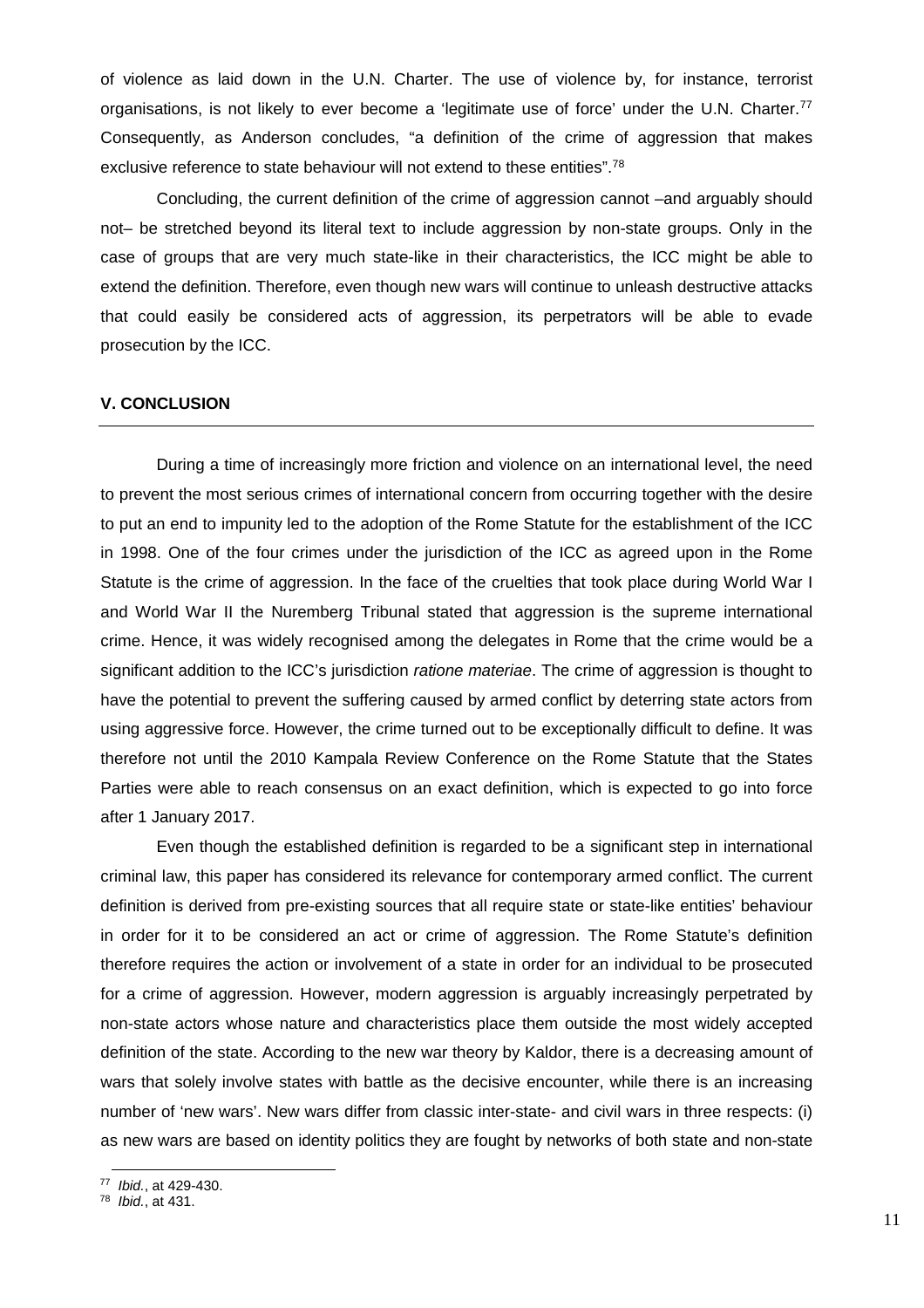of violence as laid down in the U.N. Charter. The use of violence by, for instance, terrorist organisations, is not likely to ever become a 'legitimate use of force' under the U.N. Charter.<sup>[77](#page-11-0)</sup> Consequently, as Anderson concludes, "a definition of the crime of aggression that makes exclusive reference to state behaviour will not extend to these entities".<sup>78</sup>

Concluding, the current definition of the crime of aggression cannot –and arguably should not– be stretched beyond its literal text to include aggression by non-state groups. Only in the case of groups that are very much state-like in their characteristics, the ICC might be able to extend the definition. Therefore, even though new wars will continue to unleash destructive attacks that could easily be considered acts of aggression, its perpetrators will be able to evade prosecution by the ICC.

### **V. CONCLUSION**

During a time of increasingly more friction and violence on an international level, the need to prevent the most serious crimes of international concern from occurring together with the desire to put an end to impunity led to the adoption of the Rome Statute for the establishment of the ICC in 1998. One of the four crimes under the jurisdiction of the ICC as agreed upon in the Rome Statute is the crime of aggression. In the face of the cruelties that took place during World War I and World War II the Nuremberg Tribunal stated that aggression is the supreme international crime. Hence, it was widely recognised among the delegates in Rome that the crime would be a significant addition to the ICC's jurisdiction *ratione materiae*. The crime of aggression is thought to have the potential to prevent the suffering caused by armed conflict by deterring state actors from using aggressive force. However, the crime turned out to be exceptionally difficult to define. It was therefore not until the 2010 Kampala Review Conference on the Rome Statute that the States Parties were able to reach consensus on an exact definition, which is expected to go into force after 1 January 2017.

Even though the established definition is regarded to be a significant step in international criminal law, this paper has considered its relevance for contemporary armed conflict. The current definition is derived from pre-existing sources that all require state or state-like entities' behaviour in order for it to be considered an act or crime of aggression. The Rome Statute's definition therefore requires the action or involvement of a state in order for an individual to be prosecuted for a crime of aggression. However, modern aggression is arguably increasingly perpetrated by non-state actors whose nature and characteristics place them outside the most widely accepted definition of the state. According to the new war theory by Kaldor, there is a decreasing amount of wars that solely involve states with battle as the decisive encounter, while there is an increasing number of 'new wars'. New wars differ from classic inter-state- and civil wars in three respects: (i) as new wars are based on identity politics they are fought by networks of both state and non-state

 $\ddot{ }$ 

<span id="page-11-0"></span><sup>77</sup>*Ibid.*, at 429-430. 78 *Ibid.*, at 431.

<span id="page-11-1"></span>